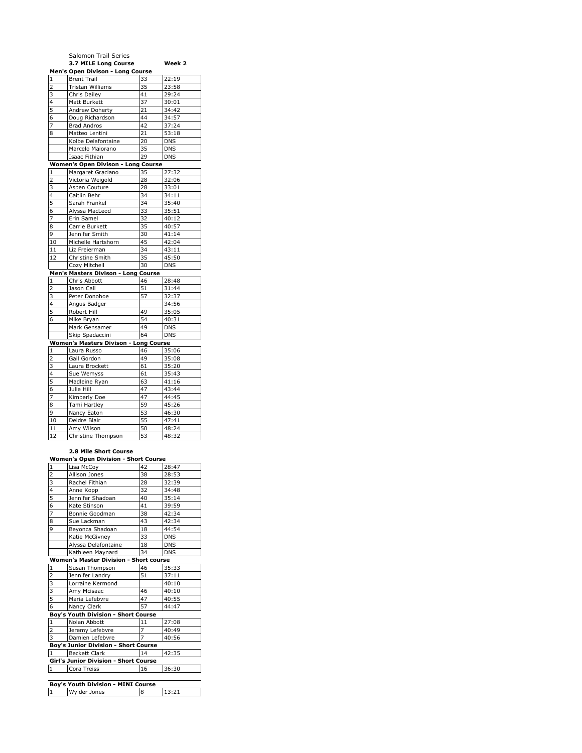|                | Salomon Trail Series                      |    |            |
|----------------|-------------------------------------------|----|------------|
|                | 3.7 MILE Long Course                      |    | Week 2     |
|                | Men's Open Divison - Long Course          |    |            |
| $\mathbf{1}$   | <b>Brent Trail</b>                        | 33 | 22:19      |
| 2              | Tristan Williams                          | 35 | 23:58      |
| 3              | Chris Dailey                              | 41 | 29:24      |
| 4              | Matt Burkett                              | 37 | 30:01      |
| 5              | Andrew Doherty                            | 21 | 34:42      |
| 6              | Doug Richardson                           | 44 | 34:57      |
| 7              | <b>Brad Andros</b>                        | 42 | 37:24      |
| 8              | Matteo Lentini                            | 21 | 53:18      |
|                | Kolbe Delafontaine                        | 20 | <b>DNS</b> |
|                | Marcelo Maiorano                          | 35 | <b>DNS</b> |
|                | Isaac Fithian                             | 29 | <b>DNS</b> |
|                | <b>Women's Open Divison - Long Course</b> |    |            |
| $\mathbf{1}$   | Margaret Graciano                         | 35 | 27:32      |
| 2              | Victoria Weigold                          | 28 | 32:06      |
| 3              | Aspen Couture                             | 28 | 33:01      |
| 4              | Caitlin Behr                              | 34 | 34:11      |
| 5              | Sarah Frankel                             | 34 | 35:40      |
| 6              | Alyssa MacLeod                            | 33 | 35:51      |
| 7              | Erin Samel                                | 32 | 40:12      |
| 8              | Carrie Burkett                            | 35 | 40:57      |
| 9              | Jennifer Smith                            | 30 | 41:14      |
| 10             | Michelle Hartshorn                        | 45 | 42:04      |
| 11             | Liz Freierman                             | 34 | 43:11      |
| 12             | Christine Smith                           | 35 | 45:50      |
|                | Cozy Mitchell                             | 30 | <b>DNS</b> |
|                | Men's Masters Divison - Long Course       |    |            |
| 1              | Chris Abbott                              | 46 | 28:48      |
| 2              | Jason Call                                | 51 | 31:44      |
| 3              | Peter Donohoe                             | 57 | 32:37      |
| 4              | Angus Badger                              |    | 34:56      |
| 5              | Robert Hill                               | 49 | 35:05      |
| 6              | Mike Bryan                                | 54 | 40:31      |
|                | Mark Gensamer                             | 49 | <b>DNS</b> |
|                | Skip Spadaccini                           | 64 | <b>DNS</b> |
|                | Women's Masters Divison - Long Course     |    |            |
| 1              | Laura Russo                               | 46 | 35:06      |
| $\overline{2}$ | Gail Gordon                               | 49 | 35:08      |
| 3              | Laura Brockett                            | 61 | 35:20      |
| 4              | Sue Wemyss                                | 61 | 35:43      |
| 5              | Madleine Ryan                             | 63 | 41:16      |
| 6              | Julie Hill                                | 47 | 43:44      |
| 7              | Kimberly Doe                              | 47 | 44:45      |
| 8              | Tami Hartley                              | 59 | 45:26      |
| 9              | Nancy Eaton                               | 53 | 46:30      |
| 10             | Deidre Blair                              | 55 | 47:41      |
| 11             | Amy Wilson                                | 50 | 48:24      |
| 12             | Christine Thompson                        | 53 | 48:32      |
|                |                                           |    |            |

## **2.8 Mile Short Course**

| <b>Women's Open Division - Short Course</b>  |                                               |                |            |  |
|----------------------------------------------|-----------------------------------------------|----------------|------------|--|
| 1                                            | Lisa McCoy                                    | 42             | 28:47      |  |
| $\overline{\mathbf{c}}$                      | Allison Jones                                 | 38             | 28:53      |  |
| 3                                            | Rachel Fithian                                | 28             | 32:39      |  |
| 4                                            | Anne Kopp                                     | 32             | 34:48      |  |
| $\overline{5}$                               | Jennifer Shadoan                              | 40             | 35:14      |  |
| $\overline{6}$                               | Kate Stinson                                  | 41             | 39:59      |  |
| 7                                            | Bonnie Goodman                                | 38             | 42:34      |  |
| 8                                            | Sue Lackman                                   | 43             | 42:34      |  |
| 9                                            | Beyonca Shadoan                               | 18             | 44:54      |  |
|                                              | Katie McGivney                                | 33             | <b>DNS</b> |  |
|                                              | Alyssa Delafontaine                           | 18             | <b>DNS</b> |  |
|                                              | Kathleen Maynard                              | 34             | <b>DNS</b> |  |
|                                              | <b>Women's Master Division - Short course</b> |                |            |  |
| $\mathbf{1}$                                 | Susan Thompson                                | 46             | 35:33      |  |
| $\overline{\mathbf{c}}$                      | Jennifer Landry                               | 51             | 37:11      |  |
| 3                                            | Lorraine Kermond                              |                | 40:10      |  |
| 3                                            | Amy Mcisaac                                   | 46             | 40:10      |  |
| $\frac{5}{6}$                                | Maria Lefebvre                                | 47             | 40:55      |  |
|                                              | Nancy Clark                                   | 57             | 44:47      |  |
|                                              | Boy's Youth Division - Short Course           |                |            |  |
| $\mathbf{1}$                                 | Nolan Abbott                                  | 11             | 27:08      |  |
| $\overline{2}$                               | Jeremy Lefebvre                               | $\overline{7}$ | 40:49      |  |
| 3                                            | Damien Lefebvre                               | $\overline{7}$ | 40:56      |  |
|                                              | Boy's Junior Division - Short Course          |                |            |  |
| $\mathbf{1}$                                 | <b>Beckett Clark</b>                          | 14             | 42:35      |  |
| <b>Girl's Junior Division - Short Course</b> |                                               |                |            |  |
| $\mathbf{1}$                                 | Cora Treiss                                   | 16             | 36:30      |  |
|                                              |                                               |                |            |  |
| Boy's Youth Division - MINI Course           |                                               |                |            |  |
| $\mathbf{1}$                                 | Wylder Jones                                  | 8              | 13:21      |  |
|                                              |                                               |                |            |  |